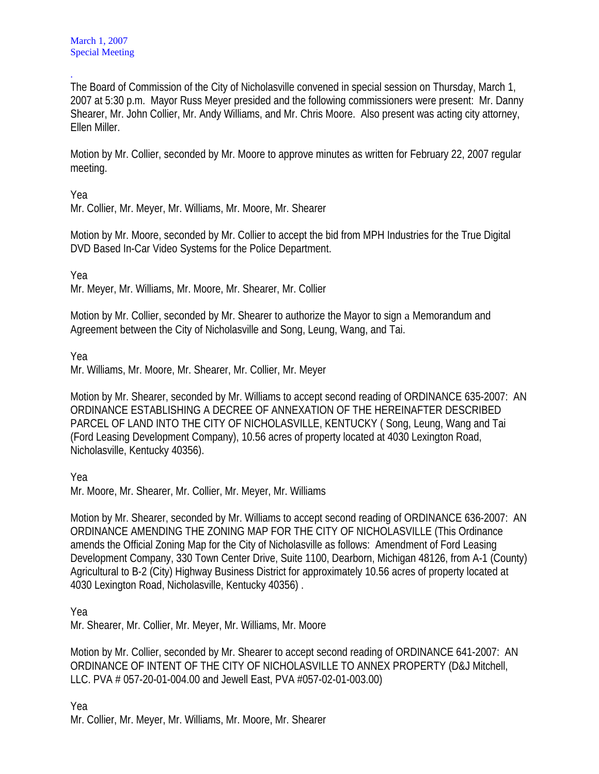. The Board of Commission of the City of Nicholasville convened in special session on Thursday, March 1, 2007 at 5:30 p.m. Mayor Russ Meyer presided and the following commissioners were present: Mr. Danny Shearer, Mr. John Collier, Mr. Andy Williams, and Mr. Chris Moore. Also present was acting city attorney, Ellen Miller.

Motion by Mr. Collier, seconded by Mr. Moore to approve minutes as written for February 22, 2007 regular meeting.

Yea

Mr. Collier, Mr. Meyer, Mr. Williams, Mr. Moore, Mr. Shearer

Motion by Mr. Moore, seconded by Mr. Collier to accept the bid from MPH Industries for the True Digital DVD Based In-Car Video Systems for the Police Department.

Yea

Mr. Meyer, Mr. Williams, Mr. Moore, Mr. Shearer, Mr. Collier

Motion by Mr. Collier, seconded by Mr. Shearer to authorize the Mayor to sign a Memorandum and Agreement between the City of Nicholasville and Song, Leung, Wang, and Tai.

Yea

Mr. Williams, Mr. Moore, Mr. Shearer, Mr. Collier, Mr. Meyer

Motion by Mr. Shearer, seconded by Mr. Williams to accept second reading of ORDINANCE 635-2007: AN ORDINANCE ESTABLISHING A DECREE OF ANNEXATION OF THE HEREINAFTER DESCRIBED PARCEL OF LAND INTO THE CITY OF NICHOLASVILLE, KENTUCKY ( Song, Leung, Wang and Tai (Ford Leasing Development Company), 10.56 acres of property located at 4030 Lexington Road, Nicholasville, Kentucky 40356).

Yea

Mr. Moore, Mr. Shearer, Mr. Collier, Mr. Meyer, Mr. Williams

Motion by Mr. Shearer, seconded by Mr. Williams to accept second reading of ORDINANCE 636-2007: AN ORDINANCE AMENDING THE ZONING MAP FOR THE CITY OF NICHOLASVILLE (This Ordinance amends the Official Zoning Map for the City of Nicholasville as follows: Amendment of Ford Leasing Development Company, 330 Town Center Drive, Suite 1100, Dearborn, Michigan 48126, from A-1 (County) Agricultural to B-2 (City) Highway Business District for approximately 10.56 acres of property located at 4030 Lexington Road, Nicholasville, Kentucky 40356) .

Yea

Mr. Shearer, Mr. Collier, Mr. Meyer, Mr. Williams, Mr. Moore

Motion by Mr. Collier, seconded by Mr. Shearer to accept second reading of ORDINANCE 641-2007: AN ORDINANCE OF INTENT OF THE CITY OF NICHOLASVILLE TO ANNEX PROPERTY (D&J Mitchell, LLC. PVA # 057-20-01-004.00 and Jewell East, PVA #057-02-01-003.00)

Yea Mr. Collier, Mr. Meyer, Mr. Williams, Mr. Moore, Mr. Shearer